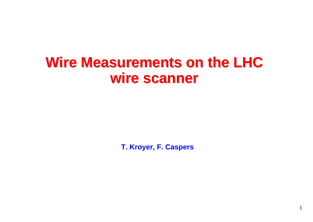#### **Wire Measurements on the LHC wire scanner wire scanner**

**T. Kroyer, F. Caspers**

1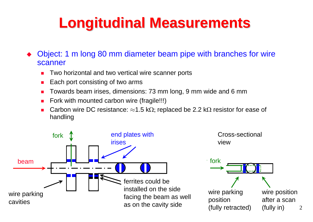## **Longitudinal Measurements Longitudinal Measurements**

♦ Object: 1 m long 80 mm diameter beam pipe with branches for wire scanner

- П Two horizontal and two vertical wire scanner ports
- п Each port consisting of two arms
- П Towards beam irises, dimensions: 73 mm long, 9 mm wide and 6 mm
- п Fork with mounted carbon wire (fragile!!!)
- п Carbon wire DC resistance:  $\approx$ 1.5 kΩ; replaced be 2.2 kΩ resistor for ease of handling

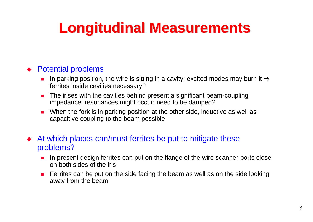# **Longitudinal Measurements Longitudinal Measurements**

#### ◆ Potential problems

- П In parking position, the wire is sitting in a cavity; excited modes may burn it  $\Rightarrow$ ferrites inside cavities necessary?
- П The irises with the cavities behind present a significant beam-coupling impedance, resonances might occur; need to be damped?
- п When the fork is in parking position at the other side, inductive as well as capacitive coupling to the beam possible
- At which places can/must ferrites be put to mitigate these problems?
	- r. In present design ferrites can put on the flange of the wire scanner ports close on both sides of the iris
	- П Ferrites can be put on the side facing the beam as well as on the side looking away from the beam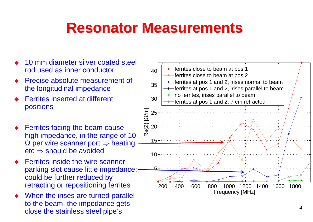#### **Resonator Measurements Resonator Measurements**

- ♦ 10 mm diameter silver coated steel rod used as inner conductor
- ♦ Precise absolute measurement of the longitudinal impedance
- $\blacklozenge$  Ferrites inserted at different positions
- $\blacklozenge$  Ferrites facing the beam cause high impedance, in the range of 10  $\Omega$  per wire scanner port  $\Rightarrow$  heating etc  $\Rightarrow$  should be avoided
- $\blacklozenge$  Ferrites inside the wire scanner parking slot cause little impedance; could be further reduced by retracting or repositioning ferrites
- $\blacklozenge$  When the irises are turned parallel to the beam, the impedance gets close the stainless steel pipe's

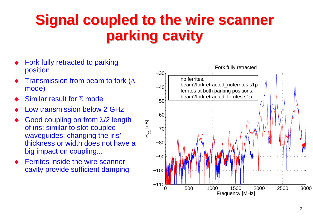## **Signal coupled to the wire scanner parking cavity parking cavity**

- ♦ Fork fully retracted to parking position
- $\blacklozenge$ Transmission from beam to fork ( $\Delta$ mode)
- $\blacklozenge$ Similar result for Σ mode
- $\blacklozenge$ Low transmission below 2 GHz
- $\blacklozenge$  Good coupling on from λ/2 length of iris; similar to slot-coupled waveguides; changing the iris' thickness or width does not have a big impact on coupling...
- $\blacklozenge$  Ferrites inside the wire scanner cavity provide sufficient damping

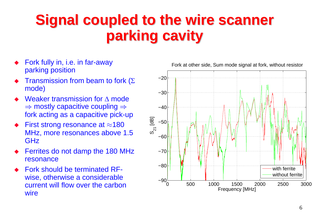## **Signal coupled to the wire scanner parking cavity parking cavity**

- ♦ Fork fully in, i.e. in far-away parking position
- $\blacklozenge$ Transmission from beam to fork ( $\Sigma$ mode)
- $\blacklozenge$  Weaker transmission for Δ mode  $\Rightarrow$  mostly capacitive coupling  $\Rightarrow$ fork acting as a capacitive pick-up
- $\blacklozenge$ First strong resonance at  $\approx$ 180 MHz, more resonances above 1.5 GHz
- $\blacklozenge$  Ferrites do not damp the 180 MHz resonance
- $\blacklozenge$  Fork should be terminated RFwise, otherwise a considerable current will flow over the carbon wire

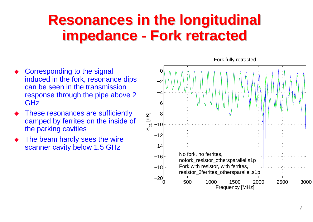#### **Resonances in the longitudinal impedance - Fork retracted**

- $\blacklozenge$  Corresponding to the signal induced in the fork, resonance dips can be seen in the transmission response through the pipe above 2 GHz
- $\blacklozenge$  These resonances are sufficiently damped by ferrites on the inside of the parking cavities
- $\blacklozenge$  The beam hardly sees the wire scanner cavity below 1.5 GHz

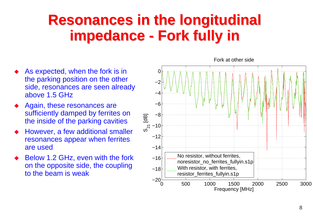#### **Resonances in the longitudinal impedance - Fork fully in**

- $\blacklozenge$  As expected, when the fork is in the parking position on the other side, resonances are seen already above 1.5 GHz
- $\blacklozenge$  Again, these resonances are sufficiently damped by ferrites on the inside of the parking cavities
- $\blacklozenge$  However, a few additional smaller resonances appear when ferrites are used
- $\blacklozenge$  Below 1.2 GHz, even with the fork on the opposite side, the coupling to the beam is weak

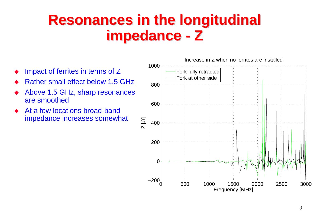#### **Resonances in the longitudinal impedance - Z**

- $\blacklozenge$ Impact of ferrites in terms of Z
- ♦ Rather small effect below 1.5 GHz
- ♦ Above 1.5 GHz, sharp resonances are smoothed
- ♦ At a few locations broad-band impedance increases somewhat